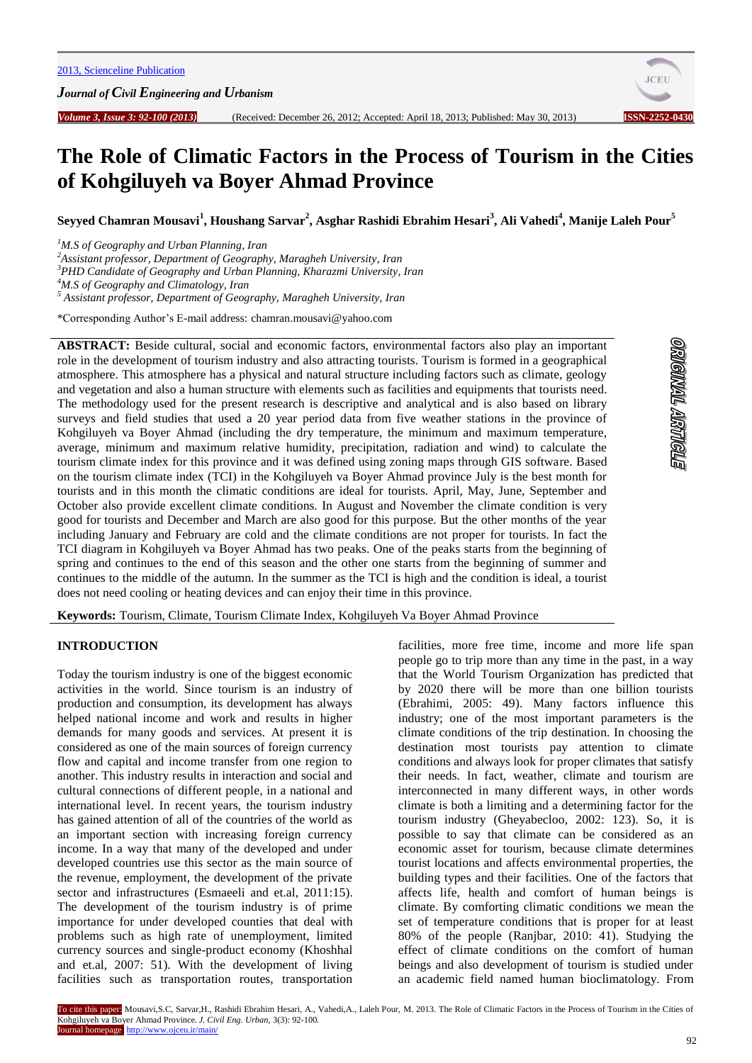*Journal of Civil Engineering and Urbanism*



<u>STONARY TRANONSIO</u>

# **The Role of Climatic Factors in the Process of Tourism in the Cities of Kohgiluyeh va Boyer Ahmad Province**

**Seyyed Chamran Mousavi<sup>1</sup> , Houshang Sarvar<sup>2</sup> , Asghar Rashidi Ebrahim Hesari<sup>3</sup> , Ali Vahedi<sup>4</sup> , Manije Laleh Pour<sup>5</sup>**

*<sup>1</sup>M.S of Geography and Urban Planning, Iran*

*<sup>2</sup>Assistant professor, Department of Geography, Maragheh University, Iran*

*<sup>3</sup>PHD Candidate of Geography and Urban Planning, Kharazmi University, Iran*

*<sup>4</sup>M.S of Geography and Climatology, Iran*

*<sup>5</sup> Assistant professor, Department of Geography, Maragheh University, Iran*

\*Corresponding Author's E-mail address: chamran.mousavi@yahoo.com

**ABSTRACT:** Beside cultural, social and economic factors, environmental factors also play an important role in the development of tourism industry and also attracting tourists. Tourism is formed in a geographical atmosphere. This atmosphere has a physical and natural structure including factors such as climate, geology and vegetation and also a human structure with elements such as facilities and equipments that tourists need. The methodology used for the present research is descriptive and analytical and is also based on library surveys and field studies that used a 20 year period data from five weather stations in the province of Kohgiluyeh va Boyer Ahmad (including the dry temperature, the minimum and maximum temperature, average, minimum and maximum relative humidity, precipitation, radiation and wind) to calculate the tourism climate index for this province and it was defined using zoning maps through GIS software. Based on the tourism climate index (TCI) in the Kohgiluyeh va Boyer Ahmad province July is the best month for tourists and in this month the climatic conditions are ideal for tourists. April, May, June, September and October also provide excellent climate conditions. In August and November the climate condition is very good for tourists and December and March are also good for this purpose. But the other months of the year including January and February are cold and the climate conditions are not proper for tourists. In fact the TCI diagram in Kohgiluyeh va Boyer Ahmad has two peaks. One of the peaks starts from the beginning of spring and continues to the end of this season and the other one starts from the beginning of summer and continues to the middle of the autumn. In the summer as the TCI is high and the condition is ideal, a tourist does not need cooling or heating devices and can enjoy their time in this province.

**Keywords:** Tourism, Climate, Tourism Climate Index, Kohgiluyeh Va Boyer Ahmad Province

# **INTRODUCTION**

Today the tourism industry is one of the biggest economic activities in the world. Since tourism is an industry of production and consumption, its development has always helped national income and work and results in higher demands for many goods and services. At present it is considered as one of the main sources of foreign currency flow and capital and income transfer from one region to another. This industry results in interaction and social and cultural connections of different people, in a national and international level. In recent years, the tourism industry has gained attention of all of the countries of the world as an important section with increasing foreign currency income. In a way that many of the developed and under developed countries use this sector as the main source of the revenue, employment, the development of the private sector and infrastructures (Esmaeeli and et.al, 2011:15). The development of the tourism industry is of prime importance for under developed counties that deal with problems such as high rate of unemployment, limited currency sources and single-product economy (Khoshhal and et.al, 2007: 51). With the development of living facilities such as transportation routes, transportation

facilities, more free time, income and more life span people go to trip more than any time in the past, in a way that the World Tourism Organization has predicted that by 2020 there will be more than one billion tourists (Ebrahimi, 2005: 49). Many factors influence this industry; one of the most important parameters is the climate conditions of the trip destination. In choosing the destination most tourists pay attention to climate conditions and always look for proper climates that satisfy their needs. In fact, weather, climate and tourism are interconnected in many different ways, in other words climate is both a limiting and a determining factor for the tourism industry (Gheyabecloo, 2002: 123). So, it is possible to say that climate can be considered as an economic asset for tourism, because climate determines tourist locations and affects environmental properties, the building types and their facilities. One of the factors that affects life, health and comfort of human beings is climate. By comforting climatic conditions we mean the set of temperature conditions that is proper for at least 80% of the people (Ranjbar, 2010: 41). Studying the effect of climate conditions on the comfort of human beings and also development of tourism is studied under an academic field named human bioclimatology. From

92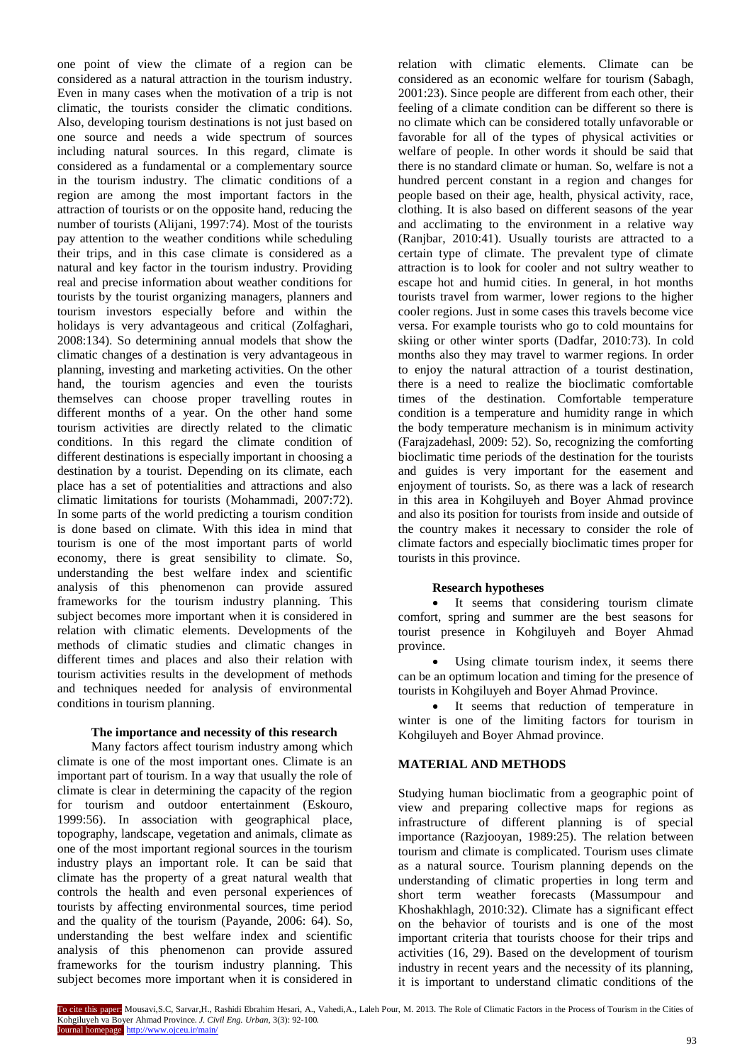one point of view the climate of a region can be considered as a natural attraction in the tourism industry. Even in many cases when the motivation of a trip is not climatic, the tourists consider the climatic conditions. Also, developing tourism destinations is not just based on one source and needs a wide spectrum of sources including natural sources. In this regard, climate is considered as a fundamental or a complementary source in the tourism industry. The climatic conditions of a region are among the most important factors in the attraction of tourists or on the opposite hand, reducing the number of tourists (Alijani, 1997:74). Most of the tourists pay attention to the weather conditions while scheduling their trips, and in this case climate is considered as a natural and key factor in the tourism industry. Providing real and precise information about weather conditions for tourists by the tourist organizing managers, planners and tourism investors especially before and within the holidays is very advantageous and critical (Zolfaghari, 2008:134). So determining annual models that show the climatic changes of a destination is very advantageous in planning, investing and marketing activities. On the other hand, the tourism agencies and even the tourists themselves can choose proper travelling routes in different months of a year. On the other hand some tourism activities are directly related to the climatic conditions. In this regard the climate condition of different destinations is especially important in choosing a destination by a tourist. Depending on its climate, each place has a set of potentialities and attractions and also climatic limitations for tourists (Mohammadi, 2007:72). In some parts of the world predicting a tourism condition is done based on climate. With this idea in mind that tourism is one of the most important parts of world economy, there is great sensibility to climate. So, understanding the best welfare index and scientific analysis of this phenomenon can provide assured frameworks for the tourism industry planning. This subject becomes more important when it is considered in relation with climatic elements. Developments of the methods of climatic studies and climatic changes in different times and places and also their relation with tourism activities results in the development of methods and techniques needed for analysis of environmental conditions in tourism planning.

### **The importance and necessity of this research**

Many factors affect tourism industry among which climate is one of the most important ones. Climate is an important part of tourism. In a way that usually the role of climate is clear in determining the capacity of the region for tourism and outdoor entertainment (Eskouro, 1999:56). In association with geographical place, topography, landscape, vegetation and animals, climate as one of the most important regional sources in the tourism industry plays an important role. It can be said that climate has the property of a great natural wealth that controls the health and even personal experiences of tourists by affecting environmental sources, time period and the quality of the tourism (Payande, 2006: 64). So, understanding the best welfare index and scientific analysis of this phenomenon can provide assured frameworks for the tourism industry planning. This subject becomes more important when it is considered in

relation with climatic elements. Climate can be considered as an economic welfare for tourism (Sabagh, 2001:23). Since people are different from each other, their feeling of a climate condition can be different so there is no climate which can be considered totally unfavorable or favorable for all of the types of physical activities or welfare of people. In other words it should be said that there is no standard climate or human. So, welfare is not a hundred percent constant in a region and changes for people based on their age, health, physical activity, race, clothing. It is also based on different seasons of the year and acclimating to the environment in a relative way (Ranjbar, 2010:41). Usually tourists are attracted to a certain type of climate. The prevalent type of climate attraction is to look for cooler and not sultry weather to escape hot and humid cities. In general, in hot months tourists travel from warmer, lower regions to the higher cooler regions. Just in some cases this travels become vice versa. For example tourists who go to cold mountains for skiing or other winter sports (Dadfar, 2010:73). In cold months also they may travel to warmer regions. In order to enjoy the natural attraction of a tourist destination, there is a need to realize the bioclimatic comfortable times of the destination. Comfortable temperature condition is a temperature and humidity range in which the body temperature mechanism is in minimum activity (Farajzadehasl, 2009: 52). So, recognizing the comforting bioclimatic time periods of the destination for the tourists and guides is very important for the easement and enjoyment of tourists. So, as there was a lack of research in this area in Kohgiluyeh and Boyer Ahmad province and also its position for tourists from inside and outside of the country makes it necessary to consider the role of climate factors and especially bioclimatic times proper for tourists in this province.

## **Research hypotheses**

• It seems that considering tourism climate comfort, spring and summer are the best seasons for tourist presence in Kohgiluyeh and Boyer Ahmad province.

 Using climate tourism index, it seems there can be an optimum location and timing for the presence of tourists in Kohgiluyeh and Boyer Ahmad Province.

 It seems that reduction of temperature in winter is one of the limiting factors for tourism in Kohgiluyeh and Boyer Ahmad province.

## **MATERIAL AND METHODS**

Studying human bioclimatic from a geographic point of view and preparing collective maps for regions as infrastructure of different planning is of special importance (Razjooyan, 1989:25). The relation between tourism and climate is complicated. Tourism uses climate as a natural source. Tourism planning depends on the understanding of climatic properties in long term and short term weather forecasts (Massumpour and Khoshakhlagh, 2010:32). Climate has a significant effect on the behavior of tourists and is one of the most important criteria that tourists choose for their trips and activities (16, 29). Based on the development of tourism industry in recent years and the necessity of its planning, it is important to understand climatic conditions of the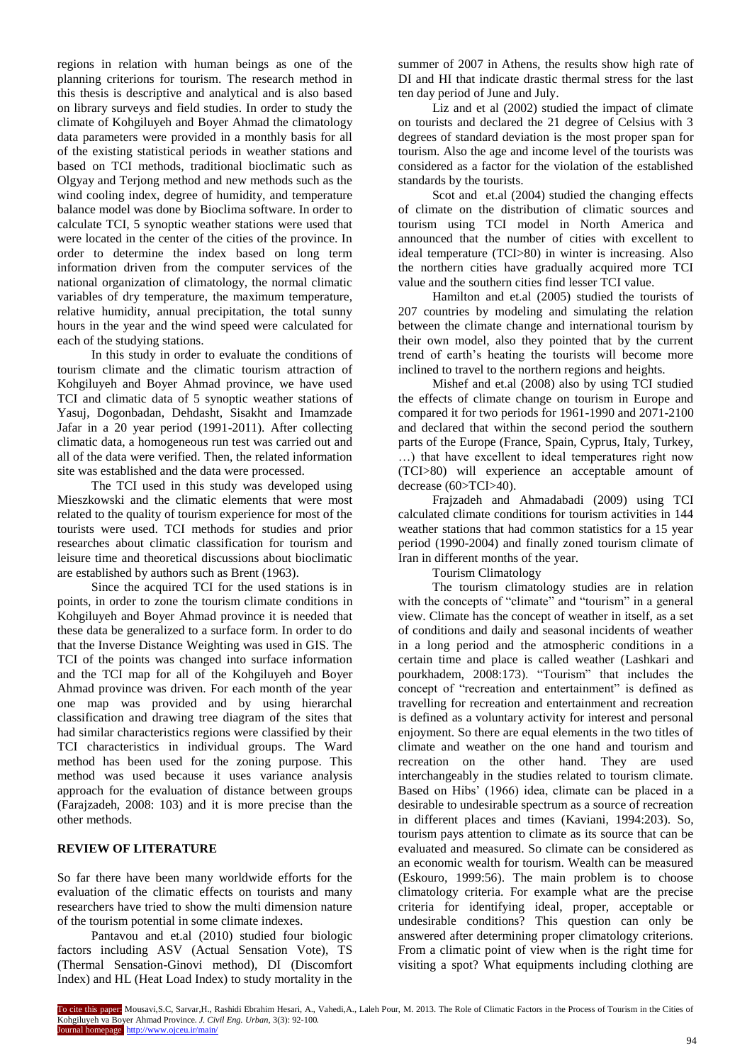regions in relation with human beings as one of the planning criterions for tourism. The research method in this thesis is descriptive and analytical and is also based on library surveys and field studies. In order to study the climate of Kohgiluyeh and Boyer Ahmad the climatology data parameters were provided in a monthly basis for all of the existing statistical periods in weather stations and based on TCI methods, traditional bioclimatic such as Olgyay and Terjong method and new methods such as the wind cooling index, degree of humidity, and temperature balance model was done by Bioclima software. In order to calculate TCI, 5 synoptic weather stations were used that were located in the center of the cities of the province. In order to determine the index based on long term information driven from the computer services of the national organization of climatology, the normal climatic variables of dry temperature, the maximum temperature, relative humidity, annual precipitation, the total sunny hours in the year and the wind speed were calculated for each of the studying stations.

In this study in order to evaluate the conditions of tourism climate and the climatic tourism attraction of Kohgiluyeh and Boyer Ahmad province, we have used TCI and climatic data of 5 synoptic weather stations of Yasuj, Dogonbadan, Dehdasht, Sisakht and Imamzade Jafar in a 20 year period (1991-2011). After collecting climatic data, a homogeneous run test was carried out and all of the data were verified. Then, the related information site was established and the data were processed.

The TCI used in this study was developed using Mieszkowski and the climatic elements that were most related to the quality of tourism experience for most of the tourists were used. TCI methods for studies and prior researches about climatic classification for tourism and leisure time and theoretical discussions about bioclimatic are established by authors such as Brent (1963).

Since the acquired TCI for the used stations is in points, in order to zone the tourism climate conditions in Kohgiluyeh and Boyer Ahmad province it is needed that these data be generalized to a surface form. In order to do that the Inverse Distance Weighting was used in GIS. The TCI of the points was changed into surface information and the TCI map for all of the Kohgiluyeh and Boyer Ahmad province was driven. For each month of the year one map was provided and by using hierarchal classification and drawing tree diagram of the sites that had similar characteristics regions were classified by their TCI characteristics in individual groups. The Ward method has been used for the zoning purpose. This method was used because it uses variance analysis approach for the evaluation of distance between groups (Farajzadeh, 2008: 103) and it is more precise than the other methods.

# **REVIEW OF LITERATURE**

So far there have been many worldwide efforts for the evaluation of the climatic effects on tourists and many researchers have tried to show the multi dimension nature of the tourism potential in some climate indexes.

Pantavou and et.al (2010) studied four biologic factors including ASV (Actual Sensation Vote), TS (Thermal Sensation-Ginovi method), DI (Discomfort Index) and HL (Heat Load Index) to study mortality in the

summer of 2007 in Athens, the results show high rate of DI and HI that indicate drastic thermal stress for the last ten day period of June and July.

Liz and et al (2002) studied the impact of climate on tourists and declared the 21 degree of Celsius with 3 degrees of standard deviation is the most proper span for tourism. Also the age and income level of the tourists was considered as a factor for the violation of the established standards by the tourists.

Scot and et.al (2004) studied the changing effects of climate on the distribution of climatic sources and tourism using TCI model in North America and announced that the number of cities with excellent to ideal temperature (TCI>80) in winter is increasing. Also the northern cities have gradually acquired more TCI value and the southern cities find lesser TCI value.

Hamilton and et.al (2005) studied the tourists of 207 countries by modeling and simulating the relation between the climate change and international tourism by their own model, also they pointed that by the current trend of earth's heating the tourists will become more inclined to travel to the northern regions and heights.

Mishef and et.al (2008) also by using TCI studied the effects of climate change on tourism in Europe and compared it for two periods for 1961-1990 and 2071-2100 and declared that within the second period the southern parts of the Europe (France, Spain, Cyprus, Italy, Turkey, …) that have excellent to ideal temperatures right now (TCI>80) will experience an acceptable amount of decrease (60>TCI>40).

Frajzadeh and Ahmadabadi (2009) using TCI calculated climate conditions for tourism activities in 144 weather stations that had common statistics for a 15 year period (1990-2004) and finally zoned tourism climate of Iran in different months of the year.

Tourism Climatology

The tourism climatology studies are in relation with the concepts of "climate" and "tourism" in a general view. Climate has the concept of weather in itself, as a set of conditions and daily and seasonal incidents of weather in a long period and the atmospheric conditions in a certain time and place is called weather (Lashkari and pourkhadem, 2008:173). "Tourism" that includes the concept of "recreation and entertainment" is defined as travelling for recreation and entertainment and recreation is defined as a voluntary activity for interest and personal enjoyment. So there are equal elements in the two titles of climate and weather on the one hand and tourism and recreation on the other hand. They are used interchangeably in the studies related to tourism climate. Based on Hibs' (1966) idea, climate can be placed in a desirable to undesirable spectrum as a source of recreation in different places and times (Kaviani, 1994:203). So, tourism pays attention to climate as its source that can be evaluated and measured. So climate can be considered as an economic wealth for tourism. Wealth can be measured (Eskouro, 1999:56). The main problem is to choose climatology criteria. For example what are the precise criteria for identifying ideal, proper, acceptable or undesirable conditions? This question can only be answered after determining proper climatology criterions. From a climatic point of view when is the right time for visiting a spot? What equipments including clothing are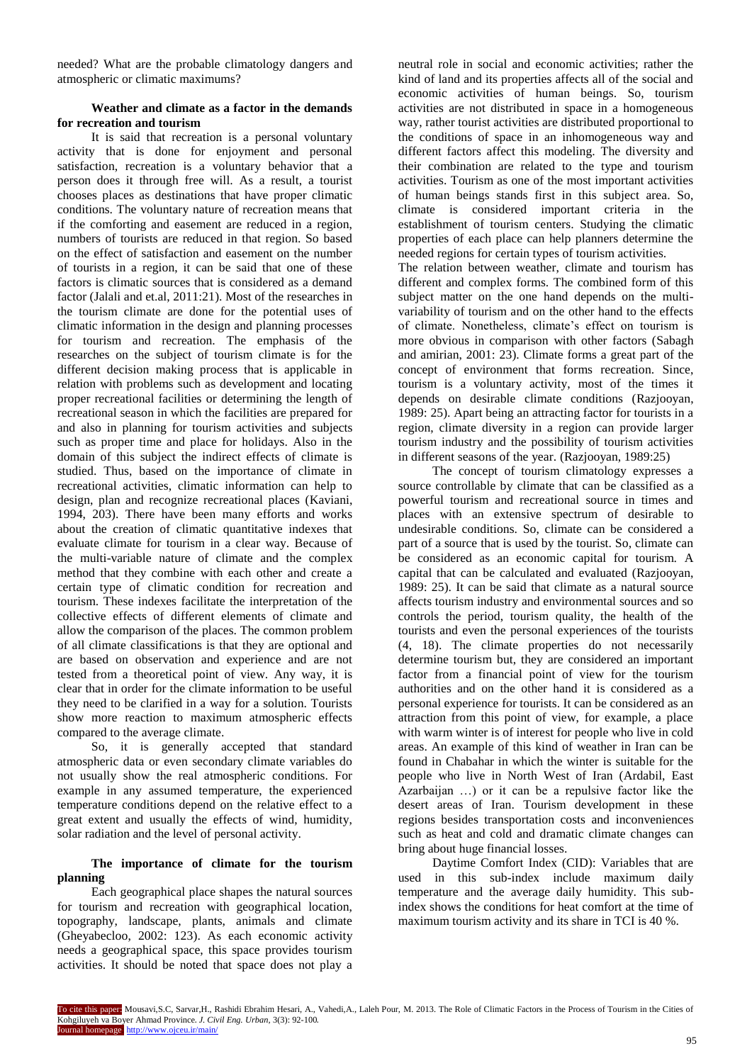needed? What are the probable climatology dangers and atmospheric or climatic maximums?

## **Weather and climate as a factor in the demands for recreation and tourism**

It is said that recreation is a personal voluntary activity that is done for enjoyment and personal satisfaction, recreation is a voluntary behavior that a person does it through free will. As a result, a tourist chooses places as destinations that have proper climatic conditions. The voluntary nature of recreation means that if the comforting and easement are reduced in a region, numbers of tourists are reduced in that region. So based on the effect of satisfaction and easement on the number of tourists in a region, it can be said that one of these factors is climatic sources that is considered as a demand factor (Jalali and et.al, 2011:21). Most of the researches in the tourism climate are done for the potential uses of climatic information in the design and planning processes for tourism and recreation. The emphasis of the researches on the subject of tourism climate is for the different decision making process that is applicable in relation with problems such as development and locating proper recreational facilities or determining the length of recreational season in which the facilities are prepared for and also in planning for tourism activities and subjects such as proper time and place for holidays. Also in the domain of this subject the indirect effects of climate is studied. Thus, based on the importance of climate in recreational activities, climatic information can help to design, plan and recognize recreational places (Kaviani, 1994, 203). There have been many efforts and works about the creation of climatic quantitative indexes that evaluate climate for tourism in a clear way. Because of the multi-variable nature of climate and the complex method that they combine with each other and create a certain type of climatic condition for recreation and tourism. These indexes facilitate the interpretation of the collective effects of different elements of climate and allow the comparison of the places. The common problem of all climate classifications is that they are optional and are based on observation and experience and are not tested from a theoretical point of view. Any way, it is clear that in order for the climate information to be useful they need to be clarified in a way for a solution. Tourists show more reaction to maximum atmospheric effects compared to the average climate.

So, it is generally accepted that standard atmospheric data or even secondary climate variables do not usually show the real atmospheric conditions. For example in any assumed temperature, the experienced temperature conditions depend on the relative effect to a great extent and usually the effects of wind, humidity, solar radiation and the level of personal activity.

# **The importance of climate for the tourism planning**

Each geographical place shapes the natural sources for tourism and recreation with geographical location, topography, landscape, plants, animals and climate (Gheyabecloo, 2002: 123). As each economic activity needs a geographical space, this space provides tourism activities. It should be noted that space does not play a

neutral role in social and economic activities; rather the kind of land and its properties affects all of the social and economic activities of human beings. So, tourism activities are not distributed in space in a homogeneous way, rather tourist activities are distributed proportional to the conditions of space in an inhomogeneous way and different factors affect this modeling. The diversity and their combination are related to the type and tourism activities. Tourism as one of the most important activities of human beings stands first in this subject area. So, climate is considered important criteria in the establishment of tourism centers. Studying the climatic properties of each place can help planners determine the needed regions for certain types of tourism activities.

The relation between weather, climate and tourism has different and complex forms. The combined form of this subject matter on the one hand depends on the multivariability of tourism and on the other hand to the effects of climate. Nonetheless, climate's effect on tourism is more obvious in comparison with other factors (Sabagh and amirian, 2001: 23). Climate forms a great part of the concept of environment that forms recreation. Since, tourism is a voluntary activity, most of the times it depends on desirable climate conditions (Razjooyan, 1989: 25). Apart being an attracting factor for tourists in a region, climate diversity in a region can provide larger tourism industry and the possibility of tourism activities in different seasons of the year. (Razjooyan, 1989:25)

The concept of tourism climatology expresses a source controllable by climate that can be classified as a powerful tourism and recreational source in times and places with an extensive spectrum of desirable to undesirable conditions. So, climate can be considered a part of a source that is used by the tourist. So, climate can be considered as an economic capital for tourism. A capital that can be calculated and evaluated (Razjooyan, 1989: 25). It can be said that climate as a natural source affects tourism industry and environmental sources and so controls the period, tourism quality, the health of the tourists and even the personal experiences of the tourists (4, 18). The climate properties do not necessarily determine tourism but, they are considered an important factor from a financial point of view for the tourism authorities and on the other hand it is considered as a personal experience for tourists. It can be considered as an attraction from this point of view, for example, a place with warm winter is of interest for people who live in cold areas. An example of this kind of weather in Iran can be found in Chabahar in which the winter is suitable for the people who live in North West of Iran (Ardabil, East Azarbaijan …) or it can be a repulsive factor like the desert areas of Iran. Tourism development in these regions besides transportation costs and inconveniences such as heat and cold and dramatic climate changes can bring about huge financial losses.

Daytime Comfort Index (CID): Variables that are used in this sub-index include maximum daily temperature and the average daily humidity. This subindex shows the conditions for heat comfort at the time of maximum tourism activity and its share in TCI is 40 %.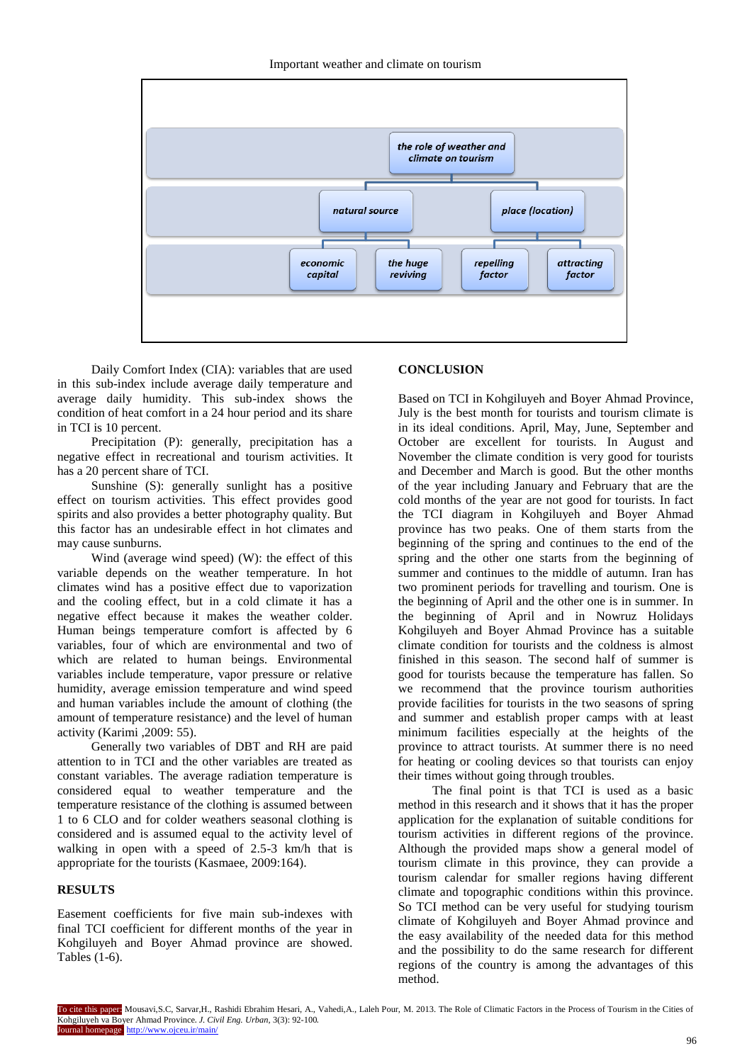

Daily Comfort Index (CIA): variables that are used in this sub-index include average daily temperature and average daily humidity. This sub-index shows the condition of heat comfort in a 24 hour period and its share in TCI is 10 percent.

Precipitation (P): generally, precipitation has a negative effect in recreational and tourism activities. It has a 20 percent share of TCI.

Sunshine (S): generally sunlight has a positive effect on tourism activities. This effect provides good spirits and also provides a better photography quality. But this factor has an undesirable effect in hot climates and may cause sunburns.

Wind (average wind speed) (W): the effect of this variable depends on the weather temperature. In hot climates wind has a positive effect due to vaporization and the cooling effect, but in a cold climate it has a negative effect because it makes the weather colder. Human beings temperature comfort is affected by 6 variables, four of which are environmental and two of which are related to human beings. Environmental variables include temperature, vapor pressure or relative humidity, average emission temperature and wind speed and human variables include the amount of clothing (the amount of temperature resistance) and the level of human activity (Karimi ,2009: 55).

Generally two variables of DBT and RH are paid attention to in TCI and the other variables are treated as constant variables. The average radiation temperature is considered equal to weather temperature and the temperature resistance of the clothing is assumed between 1 to 6 CLO and for colder weathers seasonal clothing is considered and is assumed equal to the activity level of walking in open with a speed of 2.5-3 km/h that is appropriate for the tourists (Kasmaee, 2009:164).

# **RESULTS**

Easement coefficients for five main sub-indexes with final TCI coefficient for different months of the year in Kohgiluyeh and Boyer Ahmad province are showed. Tables (1-6).

## **CONCLUSION**

Based on TCI in Kohgiluyeh and Boyer Ahmad Province, July is the best month for tourists and tourism climate is in its ideal conditions. April, May, June, September and October are excellent for tourists. In August and November the climate condition is very good for tourists and December and March is good. But the other months of the year including January and February that are the cold months of the year are not good for tourists. In fact the TCI diagram in Kohgiluyeh and Boyer Ahmad province has two peaks. One of them starts from the beginning of the spring and continues to the end of the spring and the other one starts from the beginning of summer and continues to the middle of autumn. Iran has two prominent periods for travelling and tourism. One is the beginning of April and the other one is in summer. In the beginning of April and in Nowruz Holidays Kohgiluyeh and Boyer Ahmad Province has a suitable climate condition for tourists and the coldness is almost finished in this season. The second half of summer is good for tourists because the temperature has fallen. So we recommend that the province tourism authorities provide facilities for tourists in the two seasons of spring and summer and establish proper camps with at least minimum facilities especially at the heights of the province to attract tourists. At summer there is no need for heating or cooling devices so that tourists can enjoy their times without going through troubles.

The final point is that TCI is used as a basic method in this research and it shows that it has the proper application for the explanation of suitable conditions for tourism activities in different regions of the province. Although the provided maps show a general model of tourism climate in this province, they can provide a tourism calendar for smaller regions having different climate and topographic conditions within this province. So TCI method can be very useful for studying tourism climate of Kohgiluyeh and Boyer Ahmad province and the easy availability of the needed data for this method and the possibility to do the same research for different regions of the country is among the advantages of this method.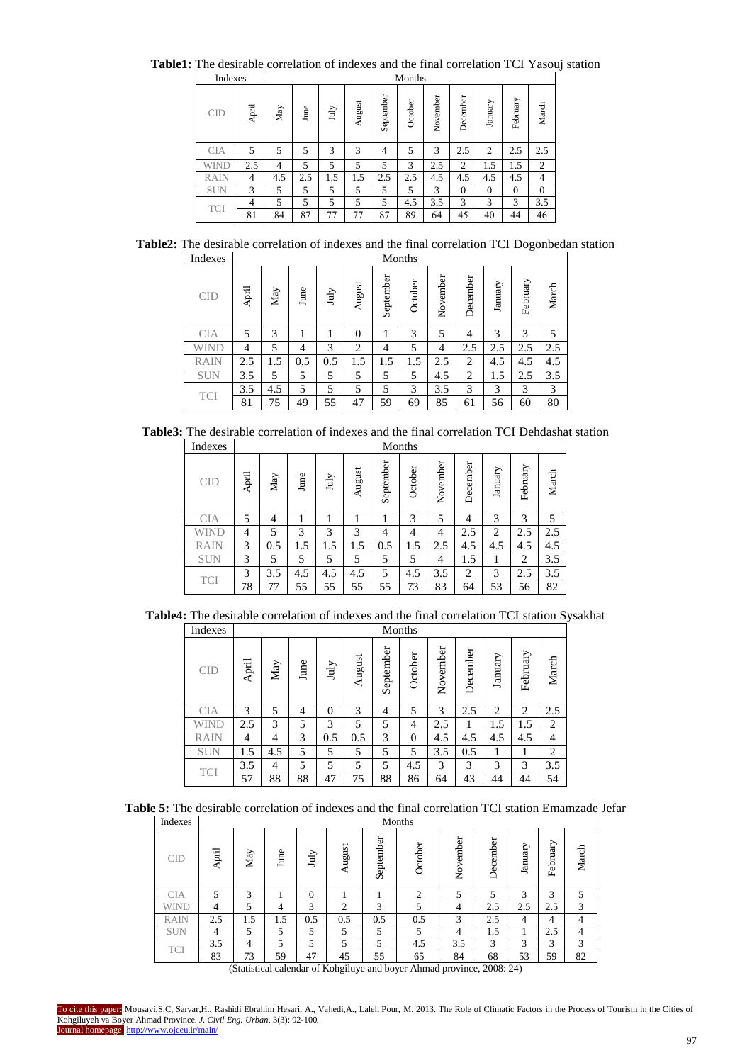**Table1:** The desirable correlation of indexes and the final correlation TCI Yasouj station

| Indexes     |       |                |      |             |        |                | Months  |          |              |                |              |              |
|-------------|-------|----------------|------|-------------|--------|----------------|---------|----------|--------------|----------------|--------------|--------------|
| CID         | April | May            | June | $\rm{July}$ | August | September      | October | November | December     | January        | February     | March        |
| <b>CIA</b>  | 5     | 5              | 5    | 3           | 3      | $\overline{4}$ | 5       | 3        | 2.5          | $\overline{2}$ | 2.5          | 2.5          |
| <b>WIND</b> | 2.5   | $\overline{4}$ | 5    | 5           | 5      | 5              | 3       | 2.5      | 2            | 1.5            | 1.5          | 2            |
| <b>RAIN</b> | 4     | 4.5            | 2.5  | 1.5         | 1.5    | 2.5            | 2.5     | 4.5      | 4.5          | 4.5            | 4.5          | 4            |
| <b>SUN</b>  | 3     | 5              | 5    | 5           | 5      | 5              | 5       | 3        | $\mathbf{0}$ | $\overline{0}$ | $\mathbf{0}$ | $\mathbf{0}$ |
|             | 4     | 5              | 5    | 5           | 5      | 5              | 4.5     | 3.5      | 3            | 3              | 3            | 3.5          |
| <b>TCI</b>  | 81    | 84             | 87   | 77          | 77     | 87             | 89      | 64       | 45           | 40             | 44           | 46           |

**Table2:** The desirable correlation of indexes and the final correlation TCI Dogonbedan station Indexes Months

| <b>CID</b>  | April          | May | June | July | August         | September | October | November | December       | January | February | March |
|-------------|----------------|-----|------|------|----------------|-----------|---------|----------|----------------|---------|----------|-------|
| <b>CIA</b>  | 5              | 3   | 1    |      | $\overline{0}$ | 1         | 3       | 5        | 4              | 3       | 3        | 5     |
| WIND        | $\overline{4}$ | 5   | 4    | 3    | 2              | 4         | 5       | 4        | 2.5            | 2.5     | 2.5      | 2.5   |
| <b>RAIN</b> | 2.5            | 1.5 | 0.5  | 0.5  | 1.5            | 1.5       | 1.5     | 2.5      | $\overline{2}$ | 4.5     | 4.5      | 4.5   |
| <b>SUN</b>  | 3.5            | 5   | 5    | 5    | 5              | 5         | 5       | 4.5      | $\overline{2}$ | 1.5     | 2.5      | 3.5   |
| <b>TCI</b>  | 3.5            | 4.5 | 5    | 5    | 5              | 5         | 3       | 3.5      | 3              | 3       | 3        | 3     |
|             | 81             | 75  | 49   | 55   | 47             | 59        | 69      | 85       | 61             | 56      | 60       | 80    |

**Table3:** The desirable correlation of indexes and the final correlation TCI Dehdashat station

| Indexes     |       |     |      |      |        |           | Months  |          |          |         |          |       |
|-------------|-------|-----|------|------|--------|-----------|---------|----------|----------|---------|----------|-------|
| <b>CID</b>  | April | May | June | July | August | September | October | November | December | January | February | March |
| <b>CIA</b>  | 5     | 4   |      |      |        |           | 3       | 5        | 4        | 3       | 3        | 5     |
| WIND        | 4     | 5   | 3    | 3    | 3      | 4         | 4       | 4        | 2.5      | 2       | 2.5      | 2.5   |
| <b>RAIN</b> | 3     | 0.5 | 1.5  | 1.5  | 1.5    | 0.5       | 1.5     | 2.5      | 4.5      | 4.5     | 4.5      | 4.5   |
| <b>SUN</b>  | 3     | 5   | 5    | 5    | 5      | 5         | 5       | 4        | 1.5      | 1       | 2        | 3.5   |
|             | 3     | 3.5 | 4.5  | 4.5  | 4.5    | 5         | 4.5     | 3.5      | 2        | 3       | 2.5      | 3.5   |
| <b>TCI</b>  | 78    | 77  | 55   | 55   | 55     | 55        | 73      | 83       | 64       | 53      | 56       | 82    |
|             |       |     |      |      |        |           |         |          |          |         |          |       |

**Table4:** The desirable correlation of indexes and the final correlation TCI station Sysakhat

| Indexes     |                |                           |                |          |        |           | Months   |          |          |         |          |       |
|-------------|----------------|---------------------------|----------------|----------|--------|-----------|----------|----------|----------|---------|----------|-------|
| <b>CID</b>  | April          | $\mathop{\hbox{\rm May}}$ | June           | July     | August | September | October  | November | December | January | February | March |
| CIA         | 3              | 5                         | $\overline{4}$ | $\theta$ | 3      | 4         | 5        | 3        | 2.5      | 2       | 2        | 2.5   |
| WIND        | 2.5            | 3                         | 5              | 3        | 5      | 5         | 4        | 2.5      |          | 1.5     | 1.5      | 2     |
| <b>RAIN</b> | $\overline{4}$ | 4                         | 3              | 0.5      | 0.5    | 3         | $\Omega$ | 4.5      | 4.5      | 4.5     | 4.5      | 4     |
| <b>SUN</b>  | 1.5            | 4.5                       | 5              | 5        | 5      | 5         | 5        | 3.5      | 0.5      | 1       |          | 2     |
| <b>TCI</b>  | 3.5            | 4                         | 5              | 5        | 5      | 5         | 4.5      | 3        | 3        | 3       | 3        | 3.5   |
|             | 57             | 88                        | 88             | 47       | 75     | 88        | 86       | 64       | 43       | 44      | 44       | 54    |

|--|

| Indexes     |       |     |      |          |        |           | Months         |          |          |         |          |       |
|-------------|-------|-----|------|----------|--------|-----------|----------------|----------|----------|---------|----------|-------|
| CD          | April | May | June | July     | August | September | October        | November | December | January | February | March |
| <b>CIA</b>  | 5     | 3   |      | $\Omega$ |        |           | $\overline{c}$ | 5        | 5        | 3       | 3        | 5     |
| WIND        | 4     | 5   | 4    | 3        | 2      | 3         | 5              | 4        | 2.5      | 2.5     | 2.5      | 3     |
| <b>RAIN</b> | 2.5   | 1.5 | 1.5  | 0.5      | 0.5    | 0.5       | 0.5            | 3        | 2.5      | 4       | 4        | 4     |
| <b>SUN</b>  | 4     | 5   | 5    | 5        | 5      | 5         | 5              | 4        | 1.5      |         | 2.5      | 4     |
| <b>TCI</b>  | 3.5   | 4   | 5    | 5        | 5      | 5         | 4.5            | 3.5      | 3        | 3       | 3        | 3     |
|             | 83    |     |      | 47       | 45     | 55        | 65             | 84       | 68       | 53      | 59       | 82    |

(Statistical calendar of Kohgiluye and boyer Ahmad province, 2008: 24)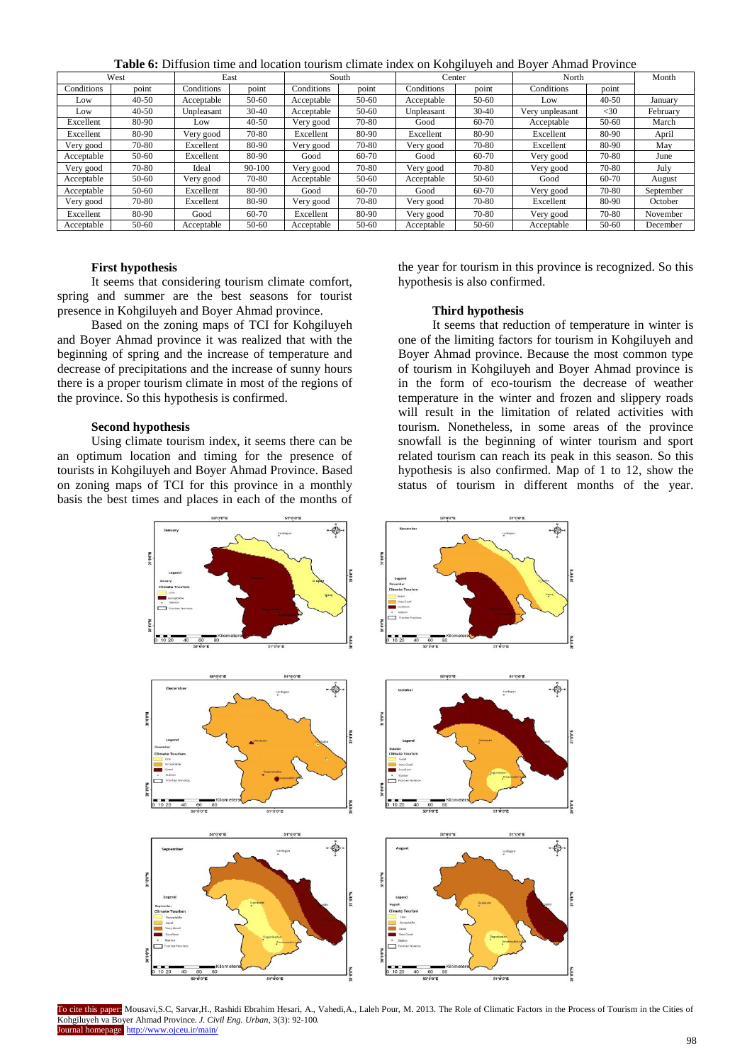**Table 6:** Diffusion time and location tourism climate index on Kohgiluyeh and Boyer Ahmad Province

|            | West      |            | East      |            | South     | Center     |           | North           |           | Month     |
|------------|-----------|------------|-----------|------------|-----------|------------|-----------|-----------------|-----------|-----------|
| Conditions | point     | Conditions | point     | Conditions | point     | Conditions | point     | Conditions      | point     |           |
| Low        | $40 - 50$ | Acceptable | $50-60$   | Acceptable | $50 - 60$ | Acceptable | 50-60     | Low             | $40 - 50$ | January   |
| Low        | $40 - 50$ | Unpleasant | $30 - 40$ | Acceptable | $50 - 60$ | Unpleasant | $30 - 40$ | Very unpleasant | $<$ 30    | February  |
| Excellent  | 80-90     | Low        | $40 - 50$ | Very good  | 70-80     | Good       | 60-70     | Acceptable      | $50 - 60$ | March     |
| Excellent  | 80-90     | Very good  | 70-80     | Excellent  | 80-90     | Excellent  | 80-90     | Excellent       | 80-90     | April     |
| Very good  | 70-80     | Excellent  | 80-90     | Very good  | 70-80     | Very good  | 70-80     | Excellent       | 80-90     | May       |
| Acceptable | $50-60$   | Excellent  | 80-90     | Good       | 60-70     | Good       | 60-70     | Very good       | 70-80     | June      |
| Very good  | 70-80     | Ideal      | 90-100    | Very good  | 70-80     | Very good  | 70-80     | Very good       | 70-80     | July      |
| Acceptable | 50-60     | Very good  | 70-80     | Acceptable | $50-60$   | Acceptable | 50-60     | Good            | 60-70     | August    |
| Acceptable | $50-60$   | Excellent  | 80-90     | Good       | 60-70     | Good       | 60-70     | Very good       | 70-80     | September |
| Very good  | 70-80     | Excellent  | 80-90     | Very good  | 70-80     | Very good  | 70-80     | Excellent       | 80-90     | October   |
| Excellent  | 80-90     | Good       | 60-70     | Excellent  | 80-90     | Very good  | 70-80     | Very good       | 70-80     | November  |
| Acceptable | $50 - 60$ | Acceptable | $50 - 60$ | Acceptable | $50 - 60$ | Acceptable | 50-60     | Acceptable      | 50-60     | December  |

#### **First hypothesis**

It seems that considering tourism climate comfort, spring and summer are the best seasons for tourist presence in Kohgiluyeh and Boyer Ahmad province.

Based on the zoning maps of TCI for Kohgiluyeh and Boyer Ahmad province it was realized that with the beginning of spring and the increase of temperature and decrease of precipitations and the increase of sunny hours there is a proper tourism climate in most of the regions of the province. So this hypothesis is confirmed.

#### **Second hypothesis**

Using climate tourism index, it seems there can be an optimum location and timing for the presence of tourists in Kohgiluyeh and Boyer Ahmad Province. Based on zoning maps of TCI for this province in a monthly basis the best times and places in each of the months of

the year for tourism in this province is recognized. So this hypothesis is also confirmed.

#### **Third hypothesis**

It seems that reduction of temperature in winter is one of the limiting factors for tourism in Kohgiluyeh and Boyer Ahmad province. Because the most common type of tourism in Kohgiluyeh and Boyer Ahmad province is in the form of eco-tourism the decrease of weather temperature in the winter and frozen and slippery roads will result in the limitation of related activities with tourism. Nonetheless, in some areas of the province snowfall is the beginning of winter tourism and sport related tourism can reach its peak in this season. So this hypothesis is also confirmed. Map of 1 to 12, show the status of tourism in different months of the year.



To cite this paper: Mousavi,S.C, Sarvar,H., Rashidi Ebrahim Hesari, A., Vahedi,A., Laleh Pour, M. 2013. The Role of Climatic Factors in the Process of Tourism in the Cities of Kohgiluyeh va Boyer Ahmad Province. *J. Civil Eng. Urban,* 3(3): 92-100. Journal homepage: http://www.ojceu.ir/main/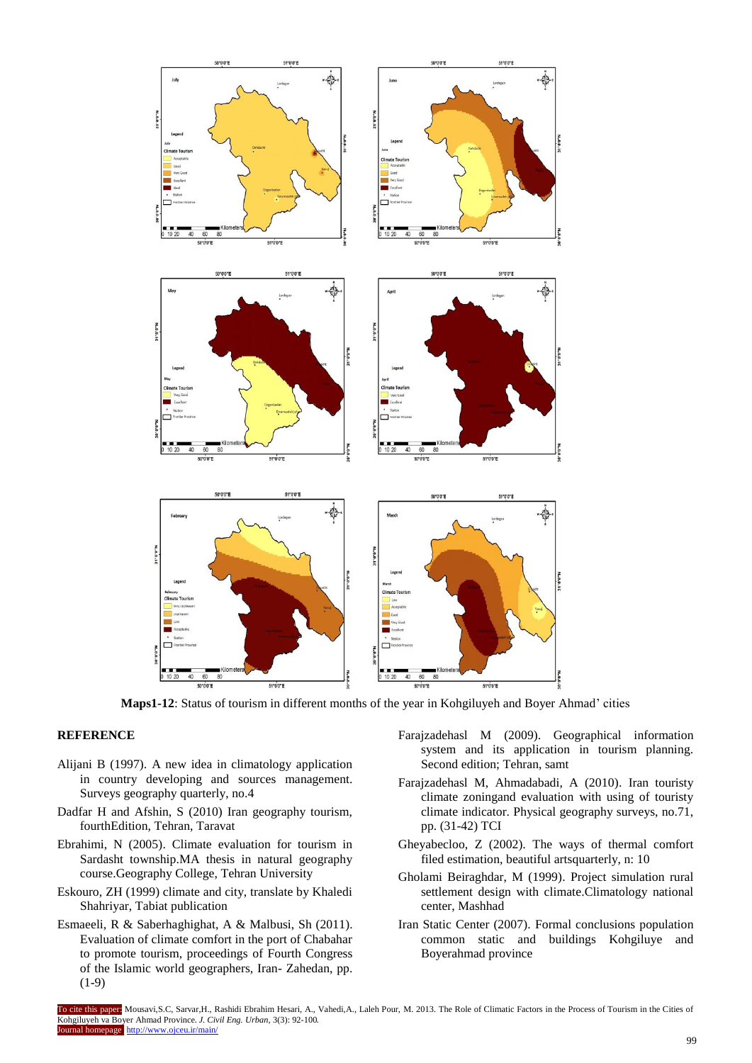

**Maps1-12**: Status of tourism in different months of the year in Kohgiluyeh and Boyer Ahmad' cities

### **REFERENCE**

- Alijani B (1997). A new idea in climatology application in country developing and sources management. Surveys geography quarterly, no.4
- Dadfar H and Afshin, S (2010) Iran geography tourism, fourthEdition, Tehran, Taravat
- Ebrahimi, N (2005). Climate evaluation for tourism in Sardasht township.MA thesis in natural geography course.Geography College, Tehran University
- Eskouro, ZH (1999) climate and city, translate by Khaledi Shahriyar, Tabiat publication
- Esmaeeli, R & Saberhaghighat, A & Malbusi, Sh (2011). Evaluation of climate comfort in the port of Chabahar to promote tourism, proceedings of Fourth Congress of the Islamic world geographers, Iran- Zahedan, pp. (1-9)
- Farajzadehasl M (2009). Geographical information system and its application in tourism planning. Second edition; Tehran, samt
- Farajzadehasl M, Ahmadabadi, A (2010). Iran touristy climate zoningand evaluation with using of touristy climate indicator. Physical geography surveys, no.71, pp. (31-42) TCI
- Gheyabecloo, Z (2002). The ways of thermal comfort filed estimation, beautiful artsquarterly, n: 10
- Gholami Beiraghdar, M (1999). Project simulation rural settlement design with climate.Climatology national center, Mashhad
- Iran Static Center (2007). Formal conclusions population common static and buildings Kohgiluye and Boyerahmad province